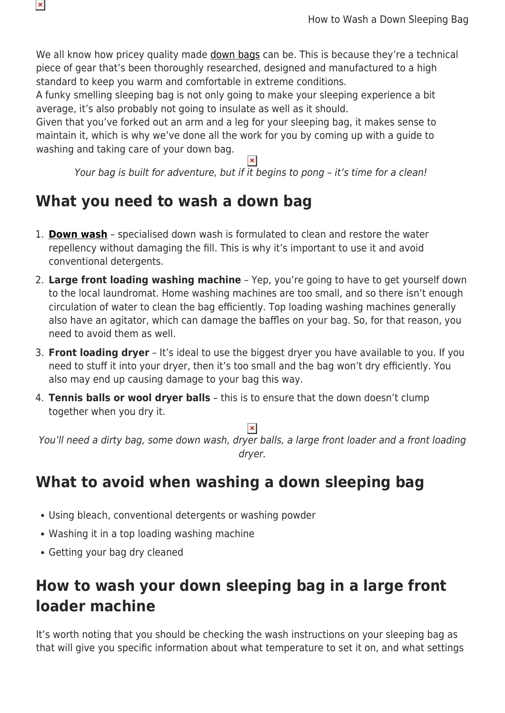We all know how pricey quality made [down bags](https://www.snowys.com.au/sleeping-bags#/specFilters=5m!#-!397&pageSize=40&orderBy=-1&pageNumber=1) can be. This is because they're a technical piece of gear that's been thoroughly researched, designed and manufactured to a high standard to keep you warm and comfortable in extreme conditions.

A funky smelling sleeping bag is not only going to make your sleeping experience a bit average, it's also probably not going to insulate as well as it should.

Given that you've forked out an arm and a leg for your sleeping bag, it makes sense to maintain it, which is why we've done all the work for you by coming up with a guide to washing and taking care of your down bag.

 $\pmb{\times}$ 

Your bag is built for adventure, but if it begins to pong – it's time for a clean!

### **What you need to wash a down bag**

- 1. **[Down wash](https://www.snowys.com.au/down-wash)** specialised down wash is formulated to clean and restore the water repellency without damaging the fill. This is why it's important to use it and avoid conventional detergents.
- 2. **Large front loading washing machine** Yep, you're going to have to get yourself down to the local laundromat. Home washing machines are too small, and so there isn't enough circulation of water to clean the bag efficiently. Top loading washing machines generally also have an agitator, which can damage the baffles on your bag. So, for that reason, you need to avoid them as well.
- 3. **Front loading dryer** It's ideal to use the biggest dryer you have available to you. If you need to stuff it into your dryer, then it's too small and the bag won't dry efficiently. You also may end up causing damage to your bag this way.
- 4. **Tennis balls or wool dryer balls** this is to ensure that the down doesn't clump together when you dry it.

#### $\pmb{\times}$

You'll need a dirty bag, some down wash, dryer balls, a large front loader and a front loading dryer.

### **What to avoid when washing a down sleeping bag**

- Using bleach, conventional detergents or washing powder
- Washing it in a top loading washing machine
- Getting your bag dry cleaned

### **How to wash your down sleeping bag in a large front loader machine**

It's worth noting that you should be checking the wash instructions on your sleeping bag as that will give you specific information about what temperature to set it on, and what settings

 $\pmb{\times}$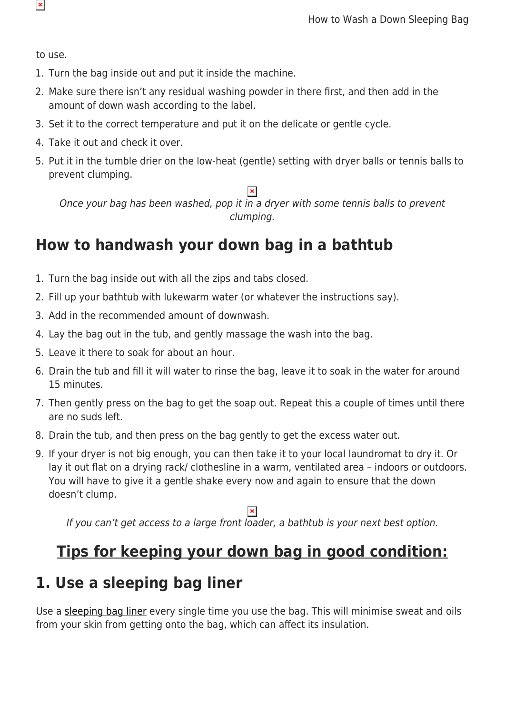to use.

- 1. Turn the bag inside out and put it inside the machine.
- 2. Make sure there isn't any residual washing powder in there first, and then add in the amount of down wash according to the label.
- 3. Set it to the correct temperature and put it on the delicate or gentle cycle.
- 4. Take it out and check it over.
- 5. Put it in the tumble drier on the low-heat (gentle) setting with dryer balls or tennis balls to prevent clumping.

#### $\pmb{\times}$

Once your bag has been washed, pop it in a dryer with some tennis balls to prevent clumping.

### **How to handwash your down bag in a bathtub**

- 1. Turn the bag inside out with all the zips and tabs closed.
- 2. Fill up your bathtub with lukewarm water (or whatever the instructions say).
- 3. Add in the recommended amount of downwash.
- 4. Lay the bag out in the tub, and gently massage the wash into the bag.
- 5. Leave it there to soak for about an hour.
- 6. Drain the tub and fill it will water to rinse the bag, leave it to soak in the water for around 15 minutes.
- 7. Then gently press on the bag to get the soap out. Repeat this a couple of times until there are no suds left.
- 8. Drain the tub, and then press on the bag gently to get the excess water out.
- 9. If your dryer is not big enough, you can then take it to your local laundromat to dry it. Or lay it out flat on a drying rack/ clothesline in a warm, ventilated area – indoors or outdoors. You will have to give it a gentle shake every now and again to ensure that the down doesn't clump.

If you can't get access to a large front loader, a bathtub is your next best option.

## **Tips for keeping your down bag in good condition:**

#### **1. Use a sleeping bag liner**

Use a [sleeping bag liner](https://www.snowys.com.au/sleeping-gear-accessories#/specFilters=5m!#-!6&pageSize=40&orderBy=-1&pageNumber=1) every single time you use the bag. This will minimise sweat and oils from your skin from getting onto the bag, which can affect its insulation.

 $\pmb{\times}$